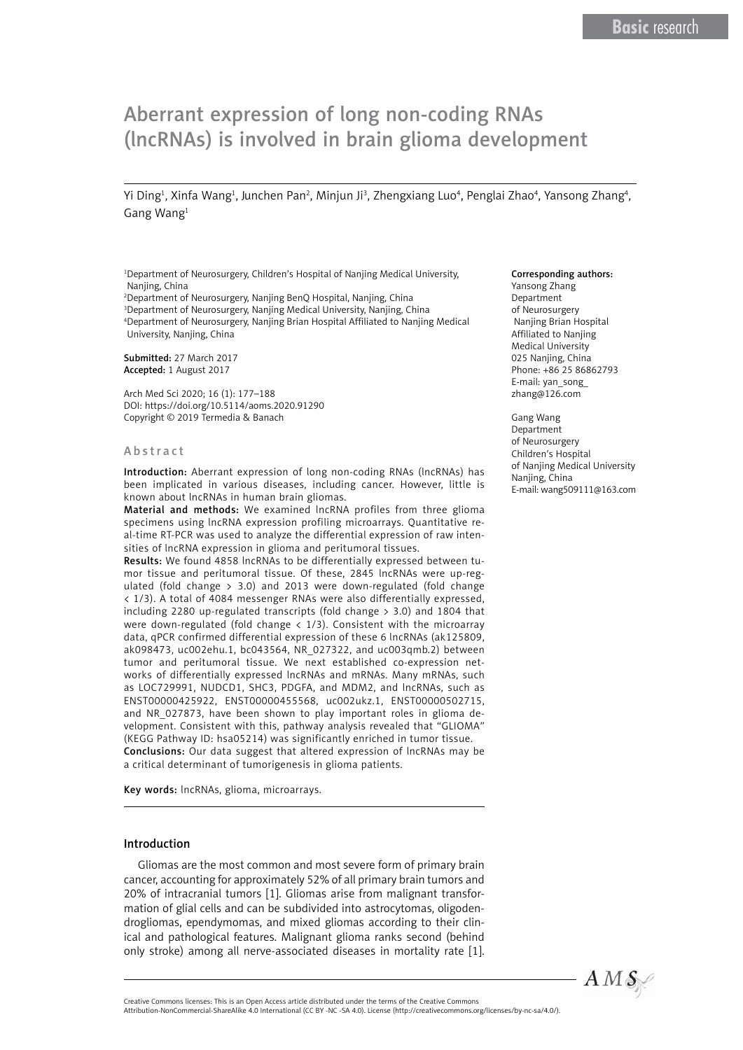# Aberrant expression of long non-coding RNAs (lncRNAs) is involved in brain glioma development

Yi Ding<sup>1</sup>, Xinfa Wang<sup>1</sup>, Junchen Pan<sup>2</sup>, Minjun Ji<sup>3</sup>, Zhengxiang Luo<sup>4</sup>, Penglai Zhao<sup>4</sup>, Yansong Zhang<sup>4</sup>, Gang Wang1

<sup>1</sup>Department of Neurosurgery, Children's Hospital of Nanjing Medical University, Nanjing, China

 Department of Neurosurgery, Nanjing BenQ Hospital, Nanjing, China Department of Neurosurgery, Nanjing Medical University, Nanjing, China Department of Neurosurgery, Nanjing Brian Hospital Affiliated to Nanjing Medical University, Nanjing, China

Submitted: 27 March 2017 Accepted: 1 August 2017

Arch Med Sci 2020; 16 (1): 177–188 DOI: https://doi.org/10.5114/aoms.2020.91290 Copyright © 2019 Termedia & Banach

#### Abstract

Introduction: Aberrant expression of long non-coding RNAs (lncRNAs) has been implicated in various diseases, including cancer. However, little is known about lncRNAs in human brain gliomas.

Material and methods: We examined lncRNA profiles from three glioma specimens using lncRNA expression profiling microarrays. Quantitative real-time RT-PCR was used to analyze the differential expression of raw intensities of lncRNA expression in glioma and peritumoral tissues.

Results: We found 4858 lncRNAs to be differentially expressed between tumor tissue and peritumoral tissue. Of these, 2845 lncRNAs were up-regulated (fold change > 3.0) and 2013 were down-regulated (fold change < 1/3). A total of 4084 messenger RNAs were also differentially expressed, including 2280 up-regulated transcripts (fold change > 3.0) and 1804 that were down-regulated (fold change < 1/3). Consistent with the microarray data, qPCR confirmed differential expression of these 6 lncRNAs (ak125809, ak098473, uc002ehu.1, bc043564, NR\_027322, and uc003qmb.2) between tumor and peritumoral tissue. We next established co-expression networks of differentially expressed lncRNAs and mRNAs. Many mRNAs, such as LOC729991, NUDCD1, SHC3, PDGFA, and MDM2, and lncRNAs, such as ENST00000425922, ENST00000455568, uc002ukz.1, ENST00000502715, and NR 027873, have been shown to play important roles in glioma development. Consistent with this, pathway analysis revealed that "GLIOMA" (KEGG Pathway ID: hsa05214) was significantly enriched in tumor tissue. Conclusions: Our data suggest that altered expression of lncRNAs may be a critical determinant of tumorigenesis in glioma patients.

Key words: lncRNAs, glioma, microarrays.

#### Introduction

Gliomas are the most common and most severe form of primary brain cancer, accounting for approximately 52% of all primary brain tumors and 20% of intracranial tumors [1]. Gliomas arise from malignant transformation of glial cells and can be subdivided into astrocytomas, oligodendrogliomas, ependymomas, and mixed gliomas according to their clinical and pathological features. Malignant glioma ranks second (behind only stroke) among all nerve-associated diseases in mortality rate [1].

#### Corresponding authors:

Yansong Zhang Department of Neurosurgery Nanjing Brian Hospital Affiliated to Nanjing Medical University 025 Nanjing, China Phone: +86 25 86862793 E-mail: [yan\\_song\\_](mailto:yan_song_zhang@126.com) [zhang@126.com](mailto:yan_song_zhang@126.com)

Gang Wang Department of Neurosurgery Children's Hospital of Nanjing Medical University Nanjing, China E-mail: [wang509111@163.com](mailto:wang509111@163.com)



Attribution-NonCommercial-ShareAlike 4.0 International (CC BY -NC -SA 4.0). License (http://creativecommons.org/licenses/by-nc-sa/4.0/).

Creative Commons licenses: This is an Open Access article distributed under the terms of the Creative Commons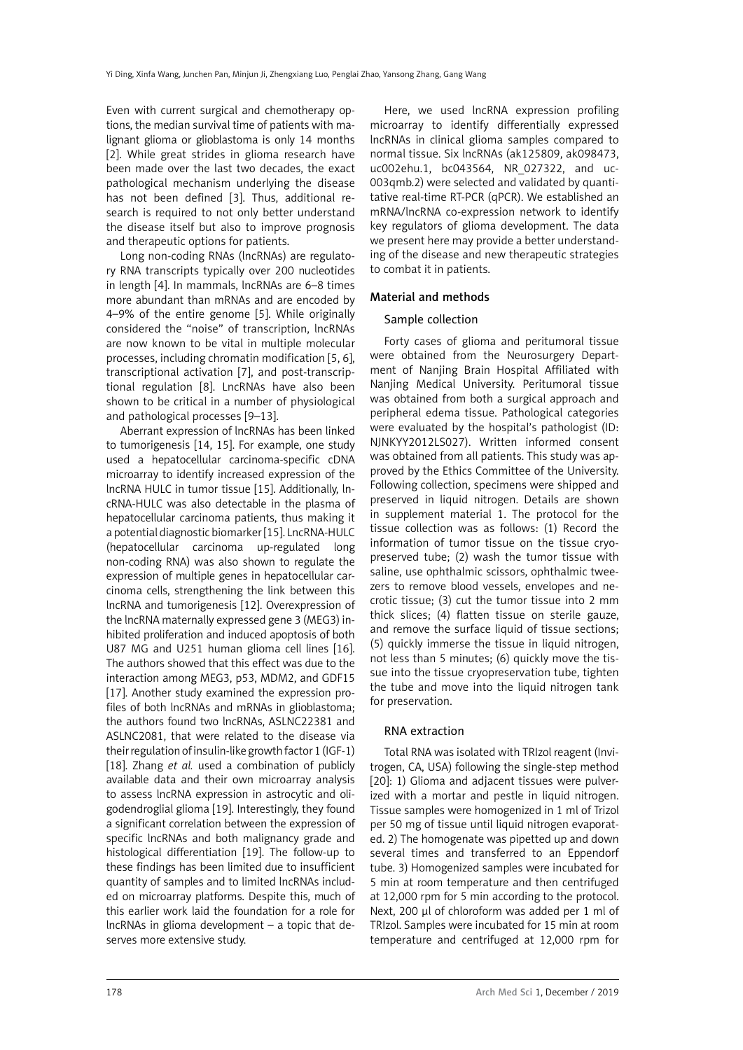Even with current surgical and chemotherapy options, the median survival time of patients with malignant glioma or glioblastoma is only 14 months [2]. While great strides in glioma research have been made over the last two decades, the exact pathological mechanism underlying the disease has not been defined [3]. Thus, additional research is required to not only better understand the disease itself but also to improve prognosis and therapeutic options for patients.

Long non-coding RNAs (lncRNAs) are regulatory RNA transcripts typically over 200 nucleotides in length [4]. In mammals, lncRNAs are 6–8 times more abundant than mRNAs and are encoded by 4–9% of the entire genome [5]. While originally considered the "noise" of transcription, lncRNAs are now known to be vital in multiple molecular processes, including chromatin modification [5, 6], transcriptional activation [7], and post-transcriptional regulation [8]. LncRNAs have also been shown to be critical in a number of physiological and pathological processes [9–13].

Aberrant expression of lncRNAs has been linked to tumorigenesis [14, 15]. For example, one study used a hepatocellular carcinoma-specific cDNA microarray to identify increased expression of the lncRNA HULC in tumor tissue [15]. Additionally, lncRNA-HULC was also detectable in the plasma of hepatocellular carcinoma patients, thus making it a potential diagnostic biomarker [15]. LncRNA-HULC (hepatocellular carcinoma up-regulated long non-coding RNA) was also shown to regulate the expression of multiple genes in hepatocellular carcinoma cells, strengthening the link between this lncRNA and tumorigenesis [12]. Overexpression of the lncRNA maternally expressed gene 3 (MEG3) inhibited proliferation and induced apoptosis of both U87 MG and U251 human glioma cell lines [16]. The authors showed that this effect was due to the interaction among MEG3, p53, MDM2, and GDF15 [17]. Another study examined the expression profiles of both lncRNAs and mRNAs in glioblastoma; the authors found two lncRNAs, ASLNC22381 and ASLNC2081, that were related to the disease via their regulation of insulin-like growth factor 1 (IGF-1) [18]. Zhang *et al.* used a combination of publicly available data and their own microarray analysis to assess lncRNA expression in astrocytic and oligodendroglial glioma [19]. Interestingly, they found a significant correlation between the expression of specific lncRNAs and both malignancy grade and histological differentiation [19]. The follow-up to these findings has been limited due to insufficient quantity of samples and to limited lncRNAs included on microarray platforms. Despite this, much of this earlier work laid the foundation for a role for lncRNAs in glioma development – a topic that deserves more extensive study.

Here, we used lncRNA expression profiling microarray to identify differentially expressed lncRNAs in clinical glioma samples compared to normal tissue. Six lncRNAs (ak125809, ak098473, uc002ehu.1, bc043564, NR\_027322, and uc-003qmb.2) were selected and validated by quantitative real-time RT-PCR (qPCR). We established an mRNA/lncRNA co-expression network to identify key regulators of glioma development. The data we present here may provide a better understanding of the disease and new therapeutic strategies to combat it in patients.

## Material and methods

## Sample collection

Forty cases of glioma and peritumoral tissue were obtained from the Neurosurgery Department of Nanjing Brain Hospital Affiliated with Nanjing Medical University. Peritumoral tissue was obtained from both a surgical approach and peripheral edema tissue. Pathological categories were evaluated by the hospital's pathologist (ID: NJNKYY2012LS027). Written informed consent was obtained from all patients. This study was approved by the Ethics Committee of the University. Following collection, specimens were shipped and preserved in liquid nitrogen. Details are shown in supplement material 1. The protocol for the tissue collection was as follows: (1) Record the information of tumor tissue on the tissue cryopreserved tube; (2) wash the tumor tissue with saline, use ophthalmic scissors, ophthalmic tweezers to remove blood vessels, envelopes and necrotic tissue; (3) cut the tumor tissue into 2 mm thick slices; (4) flatten tissue on sterile gauze, and remove the surface liquid of tissue sections; (5) quickly immerse the tissue in liquid nitrogen, not less than 5 minutes; (6) quickly move the tissue into the tissue cryopreservation tube, tighten the tube and move into the liquid nitrogen tank for preservation.

# RNA extraction

Total RNA was isolated with TRIzol reagent (Invitrogen, CA, USA) following the single-step method [20]: 1) Glioma and adjacent tissues were pulverized with a mortar and pestle in liquid nitrogen. Tissue samples were homogenized in 1 ml of Trizol per 50 mg of tissue until liquid nitrogen evaporated. 2) The homogenate was pipetted up and down several times and transferred to an Eppendorf tube. 3) Homogenized samples were incubated for 5 min at room temperature and then centrifuged at 12,000 rpm for 5 min according to the protocol. Next, 200 μl of chloroform was added per 1 ml of TRIzol. Samples were incubated for 15 min at room temperature and centrifuged at 12,000 rpm for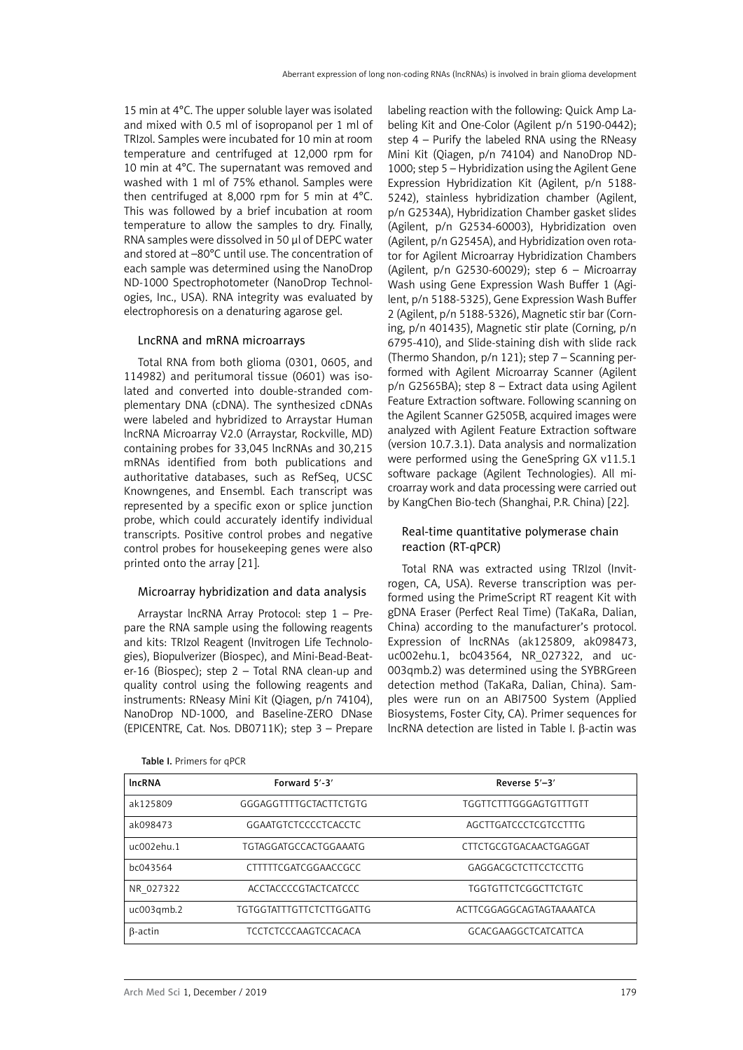15 min at 4°C. The upper soluble layer was isolated and mixed with 0.5 ml of isopropanol per 1 ml of TRIzol. Samples were incubated for 10 min at room temperature and centrifuged at 12,000 rpm for 10 min at 4°C. The supernatant was removed and washed with 1 ml of 75% ethanol. Samples were then centrifuged at 8,000 rpm for 5 min at 4°C. This was followed by a brief incubation at room temperature to allow the samples to dry. Finally, RNA samples were dissolved in 50 μl of DEPC water and stored at –80°C until use. The concentration of each sample was determined using the NanoDrop ND-1000 Spectrophotometer (NanoDrop Technologies, Inc., USA). RNA integrity was evaluated by electrophoresis on a denaturing agarose gel.

#### LncRNA and mRNA microarrays

Total RNA from both glioma (0301, 0605, and 114982) and peritumoral tissue (0601) was isolated and converted into double-stranded complementary DNA (cDNA). The synthesized cDNAs were labeled and hybridized to Arraystar Human lncRNA Microarray V2.0 (Arraystar, Rockville, MD) containing probes for 33,045 lncRNAs and 30,215 mRNAs identified from both publications and authoritative databases, such as RefSeq, UCSC Knowngenes, and Ensembl. Each transcript was represented by a specific exon or splice junction probe, which could accurately identify individual transcripts. Positive control probes and negative control probes for housekeeping genes were also printed onto the array [21].

## Microarray hybridization and data analysis

Arraystar lncRNA Array Protocol: step 1 – Prepare the RNA sample using the following reagents and kits: TRIzol Reagent (Invitrogen Life Technologies), Biopulverizer (Biospec), and Mini-Bead-Beater-16 (Biospec); step 2 – Total RNA clean-up and quality control using the following reagents and instruments: RNeasy Mini Kit (Qiagen, p/n 74104), NanoDrop ND-1000, and Baseline-ZERO DNase (EPICENTRE, Cat. Nos. DB0711K); step 3 – Prepare

labeling reaction with the following: Quick Amp Labeling Kit and One-Color (Agilent p/n 5190-0442); step 4 – Purify the labeled RNA using the RNeasy Mini Kit (Qiagen, p/n 74104) and NanoDrop ND-1000; step 5 – Hybridization using the Agilent Gene Expression Hybridization Kit (Agilent, p/n 5188- 5242), stainless hybridization chamber (Agilent, p/n G2534A), Hybridization Chamber gasket slides (Agilent, p/n G2534-60003), Hybridization oven (Agilent, p/n G2545A), and Hybridization oven rotator for Agilent Microarray Hybridization Chambers (Agilent, p/n G2530-60029); step 6 – Microarray Wash using Gene Expression Wash Buffer 1 (Agilent, p/n 5188-5325), Gene Expression Wash Buffer 2 (Agilent, p/n 5188-5326), Magnetic stir bar (Corning, p/n 401435), Magnetic stir plate (Corning, p/n 6795-410), and Slide-staining dish with slide rack (Thermo Shandon, p/n 121); step 7 – Scanning performed with Agilent Microarray Scanner (Agilent p/n G2565BA); step 8 – Extract data using Agilent Feature Extraction software. Following scanning on the Agilent Scanner G2505B, acquired images were analyzed with Agilent Feature Extraction software (version 10.7.3.1). Data analysis and normalization were performed using the GeneSpring GX v11.5.1 software package (Agilent Technologies). All microarray work and data processing were carried out by KangChen Bio-tech (Shanghai, P.R. China) [22].

# Real-time quantitative polymerase chain reaction (RT-qPCR)

Total RNA was extracted using TRIzol (Invitrogen, CA, USA). Reverse transcription was performed using the PrimeScript RT reagent Kit with gDNA Eraser (Perfect Real Time) (TaKaRa, Dalian, China) according to the manufacturer's protocol. Expression of lncRNAs (ak125809, ak098473, uc002ehu.1, bc043564, NR\_027322, and uc-003qmb.2) was determined using the SYBRGreen detection method (TaKaRa, Dalian, China). Samples were run on an ABI7500 System (Applied Biosystems, Foster City, CA). Primer sequences for lncRNA detection are listed in Table I. β-actin was

| <b>IncRNA</b> | Forward 5'-3'                   | Reverse 5'-3'               |  |  |
|---------------|---------------------------------|-----------------------------|--|--|
| ak125809      | GGGAGGTTTTGCTACTTCTGTG          | TGGTTCTTTGGGAGTGTTTGTT      |  |  |
| ak098473      | <b>GGAATGTCTCCCCTCACCTC</b>     | AGCTTGATCCCTCGTCCTTTG       |  |  |
| uc002ehu.1    | TGTAGGATGCCACTGGAAATG           | CTTCTGCGTGACAACTGAGGAT      |  |  |
| bc043564      | CTTTTTCGATCGGAACCGCC            | GAGGACGCTCTTCCTCCTTG        |  |  |
| NR 027322     | ACCTACCCCGTACTCATCCC            | <b>TGGTGTTCTCGGCTTCTGTC</b> |  |  |
| uc003qmb.2    | <b>TGTGGTATTTGTTCTCTTGGATTG</b> | ACTTCGGAGGCAGTAGTAAAATCA    |  |  |
| B-actin       | TCCTCTCCCAAGTCCACACA            | GCACGAAGGCTCATCATTCA        |  |  |

Table I. Primers for qPCR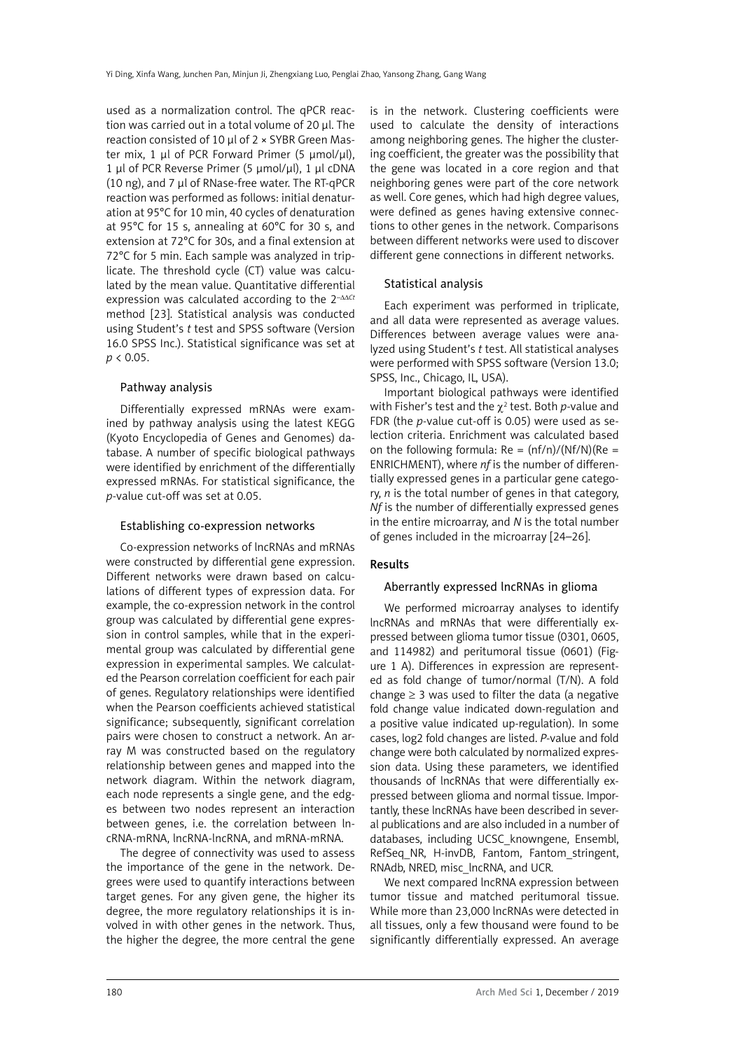used as a normalization control. The qPCR reaction was carried out in a total volume of 20 μl. The reaction consisted of 10 μl of 2 × SYBR Green Master mix, 1 μl of PCR Forward Primer (5 μmol/μl), 1 μl of PCR Reverse Primer (5 μmol/μl), 1 μl cDNA (10 ng), and 7 μl of RNase-free water. The RT-qPCR reaction was performed as follows: initial denaturation at 95°C for 10 min, 40 cycles of denaturation at 95°C for 15 s, annealing at 60°C for 30 s, and extension at 72°C for 30s, and a final extension at 72°C for 5 min. Each sample was analyzed in triplicate. The threshold cycle (CT) value was calculated by the mean value. Quantitative differential expression was calculated according to the 2<sup>- $\Delta\Delta$ Ct</sup> method [23]. Statistical analysis was conducted using Student's *t* test and SPSS software (Version 16.0 SPSS Inc.). Statistical significance was set at  $p < 0.05$ .

## Pathway analysis

Differentially expressed mRNAs were examined by pathway analysis using the latest KEGG (Kyoto Encyclopedia of Genes and Genomes) database. A number of specific biological pathways were identified by enrichment of the differentially expressed mRNAs. For statistical significance, the *p-*value cut-off was set at 0.05.

## Establishing co-expression networks

Co-expression networks of lncRNAs and mRNAs were constructed by differential gene expression. Different networks were drawn based on calculations of different types of expression data. For example, the co-expression network in the control group was calculated by differential gene expression in control samples, while that in the experimental group was calculated by differential gene expression in experimental samples. We calculated the Pearson correlation coefficient for each pair of genes. Regulatory relationships were identified when the Pearson coefficients achieved statistical significance; subsequently, significant correlation pairs were chosen to construct a network. An array M was constructed based on the regulatory relationship between genes and mapped into the network diagram. Within the network diagram, each node represents a single gene, and the edges between two nodes represent an interaction between genes, i.e. the correlation between lncRNA-mRNA, lncRNA-lncRNA, and mRNA-mRNA.

The degree of connectivity was used to assess the importance of the gene in the network. Degrees were used to quantify interactions between target genes. For any given gene, the higher its degree, the more regulatory relationships it is involved in with other genes in the network. Thus, the higher the degree, the more central the gene is in the network. Clustering coefficients were used to calculate the density of interactions among neighboring genes. The higher the clustering coefficient, the greater was the possibility that the gene was located in a core region and that neighboring genes were part of the core network as well. Core genes, which had high degree values, were defined as genes having extensive connections to other genes in the network. Comparisons between different networks were used to discover different gene connections in different networks.

## Statistical analysis

Each experiment was performed in triplicate, and all data were represented as average values. Differences between average values were analyzed using Student's *t* test. All statistical analyses were performed with SPSS software (Version 13.0; SPSS, Inc., Chicago, IL, USA).

Important biological pathways were identified with Fisher's test and the  $\chi^2$  test. Both p-value and FDR (the *p*-value cut-off is 0.05) were used as selection criteria. Enrichment was calculated based on the following formula:  $Re = (nf/n)/(Nf/N)(Re =$ ENRICHMENT), where *nf* is the number of differentially expressed genes in a particular gene category, *n* is the total number of genes in that category, *Nf* is the number of differentially expressed genes in the entire microarray, and *N* is the total number of genes included in the microarray [24–26].

## Results

#### Aberrantly expressed lncRNAs in glioma

We performed microarray analyses to identify lncRNAs and mRNAs that were differentially expressed between glioma tumor tissue (0301, 0605, and 114982) and peritumoral tissue (0601) (Figure 1 A). Differences in expression are represented as fold change of tumor/normal (T/N). A fold change  $\geq$  3 was used to filter the data (a negative fold change value indicated down-regulation and a positive value indicated up-regulation). In some cases, log2 fold changes are listed. *P*-value and fold change were both calculated by normalized expression data. Using these parameters, we identified thousands of lncRNAs that were differentially expressed between glioma and normal tissue. Importantly, these lncRNAs have been described in several publications and are also included in a number of databases, including UCSC\_knowngene, Ensembl, RefSeq\_NR, H-invDB, Fantom, Fantom\_stringent, RNAdb, NRED, misc\_lncRNA, and UCR.

We next compared lncRNA expression between tumor tissue and matched peritumoral tissue. While more than 23,000 lncRNAs were detected in all tissues, only a few thousand were found to be significantly differentially expressed. An average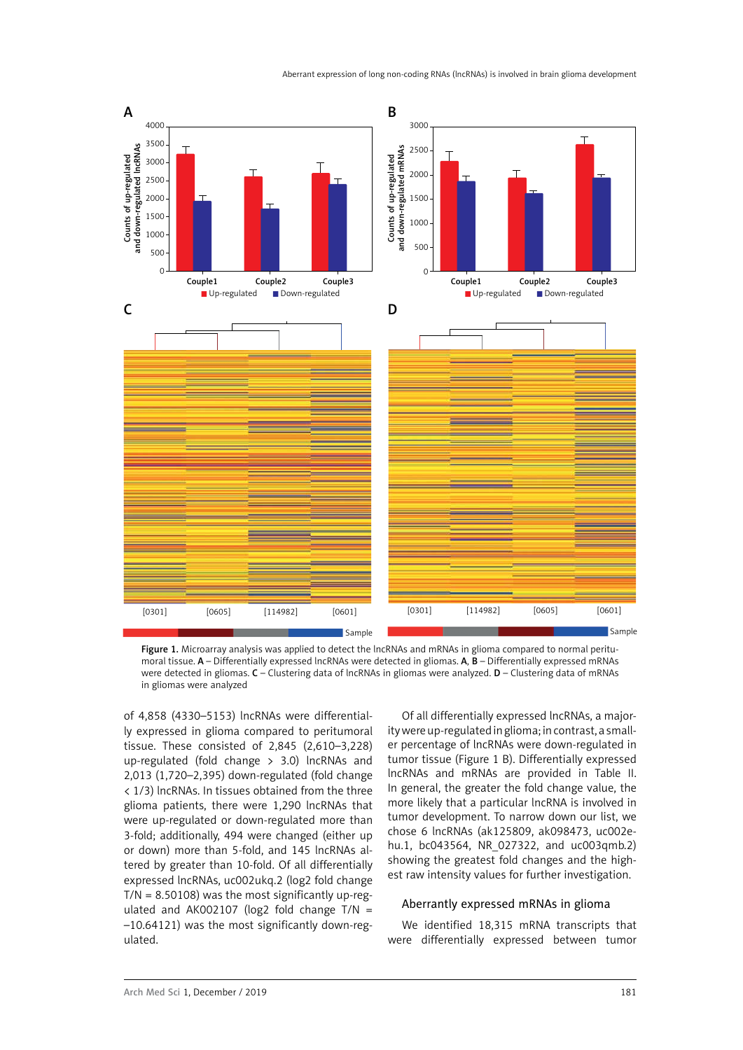



of 4,858 (4330–5153) lncRNAs were differentially expressed in glioma compared to peritumoral tissue. These consisted of 2,845 (2,610–3,228) up-regulated (fold change > 3.0) lncRNAs and 2,013 (1,720–2,395) down-regulated (fold change < 1/3) lncRNAs. In tissues obtained from the three glioma patients, there were 1,290 lncRNAs that were up-regulated or down-regulated more than 3-fold; additionally, 494 were changed (either up or down) more than 5-fold, and 145 lncRNAs altered by greater than 10-fold. Of all differentially expressed lncRNAs, uc002ukq.2 (log2 fold change  $T/N = 8.50108$ ) was the most significantly up-regulated and AK002107 ( $log2$  fold change T/N = –10.64121) was the most significantly down-regulated.

Of all differentially expressed lncRNAs, a majority were up-regulated in glioma; in contrast, a smaller percentage of lncRNAs were down-regulated in tumor tissue (Figure 1 B). Differentially expressed lncRNAs and mRNAs are provided in Table II. In general, the greater the fold change value, the more likely that a particular lncRNA is involved in tumor development. To narrow down our list, we chose 6 lncRNAs (ak125809, ak098473, uc002ehu.1, bc043564, NR 027322, and uc003qmb.2) showing the greatest fold changes and the highest raw intensity values for further investigation.

## Aberrantly expressed mRNAs in glioma

We identified 18,315 mRNA transcripts that were differentially expressed between tumor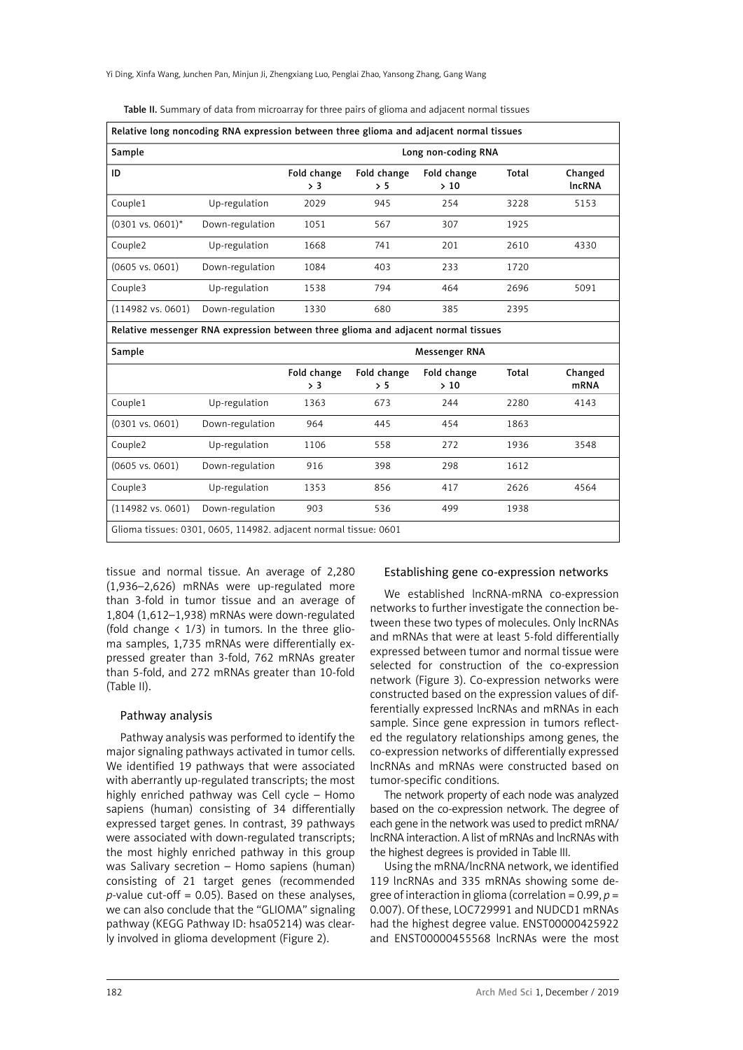| Relative long noncoding RNA expression between three glioma and adjacent normal tissues |                     |                    |                    |                    |       |                          |  |  |  |
|-----------------------------------------------------------------------------------------|---------------------|--------------------|--------------------|--------------------|-------|--------------------------|--|--|--|
| Sample                                                                                  | Long non-coding RNA |                    |                    |                    |       |                          |  |  |  |
| ID                                                                                      |                     | Fold change<br>> 3 | Fold change<br>> 5 | Fold change<br>>10 | Total | Changed<br><b>IncRNA</b> |  |  |  |
| Couple1                                                                                 | Up-regulation       | 2029               | 945<br>254         |                    | 3228  | 5153                     |  |  |  |
| $(0301 \text{ vs. } 0601)^*$                                                            | Down-regulation     | 1051               | 567<br>307         |                    | 1925  |                          |  |  |  |
| Couple2                                                                                 | Up-regulation       | 1668               | 741                | 201                |       | 4330                     |  |  |  |
| $(0605 \text{ vs. } 0601)$                                                              | Down-regulation     | 1084               | 403<br>233         |                    | 1720  |                          |  |  |  |
| Couple3                                                                                 | Up-regulation       | 1538               | 794                | 464                | 2696  | 5091                     |  |  |  |
| $(114982 \text{ vs. } 0601)$<br>Down-regulation                                         |                     | 1330               | 680<br>385         |                    | 2395  |                          |  |  |  |
| Relative messenger RNA expression between three glioma and adjacent normal tissues      |                     |                    |                    |                    |       |                          |  |  |  |
| Sample                                                                                  | Messenger RNA       |                    |                    |                    |       |                          |  |  |  |
|                                                                                         |                     | Fold change<br>> 3 | Fold change<br>> 5 | Fold change<br>>10 | Total | Changed<br><b>mRNA</b>   |  |  |  |
| Couple1                                                                                 | Up-regulation       | 1363               | 673                | 244                | 2280  | 4143                     |  |  |  |
| $(0301 \text{ vs. } 0601)$                                                              | Down-regulation     | 964                | 445                | 454                | 1863  |                          |  |  |  |
| Couple <sub>2</sub>                                                                     | Up-regulation       | 1106               | 558                | 272                | 1936  | 3548                     |  |  |  |
| $(0605 \text{ vs. } 0601)$                                                              | Down-regulation     | 916                | 398                | 298                | 1612  |                          |  |  |  |
| Couple3                                                                                 | Up-regulation       | 1353               | 856                | 417                | 2626  | 4564                     |  |  |  |
| $(114982 \text{ vs. } 0601)$                                                            | Down-regulation     | 903                | 536                | 499                | 1938  |                          |  |  |  |
| Glioma tissues: 0301, 0605, 114982. adjacent normal tissue: 0601                        |                     |                    |                    |                    |       |                          |  |  |  |

Table II. Summary of data from microarray for three pairs of glioma and adjacent normal tissues

tissue and normal tissue. An average of 2,280 (1,936–2,626) mRNAs were up-regulated more than 3-fold in tumor tissue and an average of 1,804 (1,612–1,938) mRNAs were down-regulated (fold change  $\langle 1/3 \rangle$  in tumors. In the three glioma samples, 1,735 mRNAs were differentially expressed greater than 3-fold, 762 mRNAs greater than 5-fold, and 272 mRNAs greater than 10-fold (Table II).

## Pathway analysis

Pathway analysis was performed to identify the major signaling pathways activated in tumor cells. We identified 19 pathways that were associated with aberrantly up-regulated transcripts; the most highly enriched pathway was Cell cycle – Homo sapiens (human) consisting of 34 differentially expressed target genes. In contrast, 39 pathways were associated with down-regulated transcripts; the most highly enriched pathway in this group was Salivary secretion – Homo sapiens (human) consisting of 21 target genes (recommended  $p$ -value cut-off = 0.05). Based on these analyses, we can also conclude that the "GLIOMA" signaling pathway (KEGG Pathway ID: hsa05214) was clearly involved in glioma development (Figure 2).

#### Establishing gene co-expression networks

We established lncRNA-mRNA co-expression networks to further investigate the connection between these two types of molecules. Only lncRNAs and mRNAs that were at least 5-fold differentially expressed between tumor and normal tissue were selected for construction of the co-expression network (Figure 3). Co-expression networks were constructed based on the expression values of differentially expressed lncRNAs and mRNAs in each sample. Since gene expression in tumors reflected the regulatory relationships among genes, the co-expression networks of differentially expressed lncRNAs and mRNAs were constructed based on tumor-specific conditions.

The network property of each node was analyzed based on the co-expression network. The degree of each gene in the network was used to predict mRNA/ lncRNA interaction. A list of mRNAs and lncRNAs with the highest degrees is provided in Table III.

Using the mRNA/lncRNA network, we identified 119 lncRNAs and 335 mRNAs showing some degree of interaction in glioma (correlation = 0.99, *p* = 0.007). Of these, LOC729991 and NUDCD1 mRNAs had the highest degree value. ENST00000425922 and ENST00000455568 lncRNAs were the most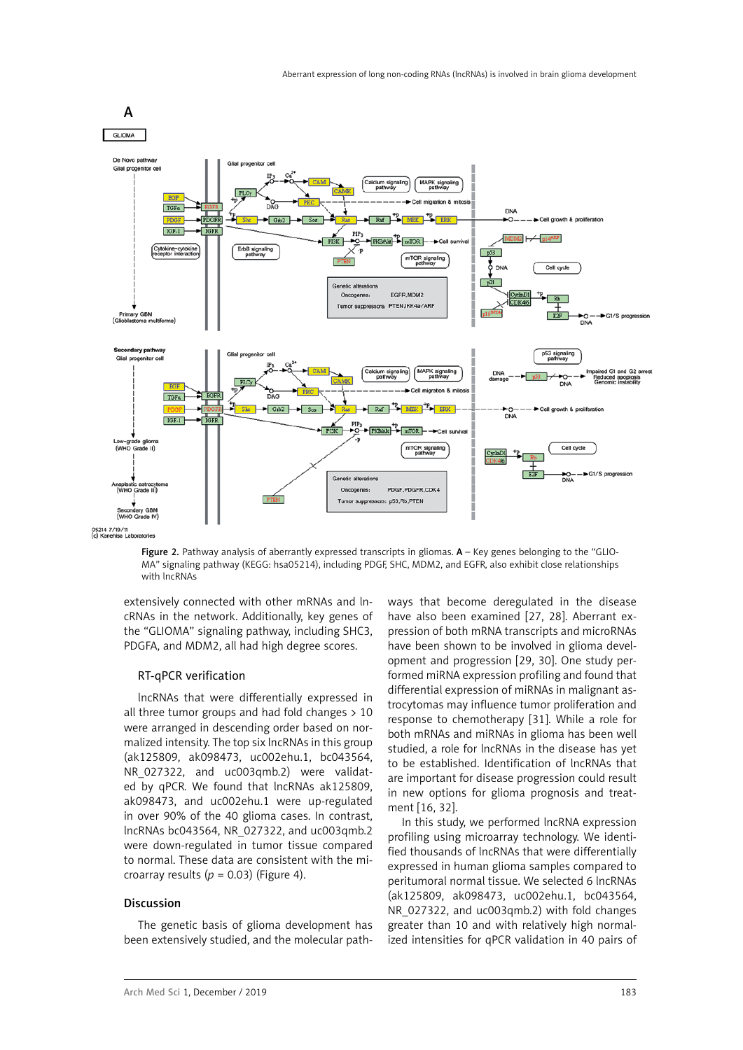

Figure 2. Pathway analysis of aberrantly expressed transcripts in gliomas. A – Key genes belonging to the "GLIO-MA" signaling pathway (KEGG: hsa05214), including PDGF, SHC, MDM2, and EGFR, also exhibit close relationships with lncRNAs

extensively connected with other mRNAs and lncRNAs in the network. Additionally, key genes of the "GLIOMA" signaling pathway, including SHC3, PDGFA, and MDM2, all had high degree scores.

#### RT-qPCR verification

lncRNAs that were differentially expressed in all three tumor groups and had fold changes > 10 were arranged in descending order based on normalized intensity. The top six lncRNAs in this group (ak125809, ak098473, uc002ehu.1, bc043564, NR 027322, and uc003qmb.2) were validated by qPCR. We found that lncRNAs ak125809, ak098473, and uc002ehu.1 were up-regulated in over 90% of the 40 glioma cases. In contrast, lncRNAs bc043564, NR\_027322, and uc003qmb.2 were down-regulated in tumor tissue compared to normal. These data are consistent with the microarray results ( $p = 0.03$ ) (Figure 4).

#### **Discussion**

The genetic basis of glioma development has been extensively studied, and the molecular pathways that become deregulated in the disease have also been examined [27, 28]. Aberrant expression of both mRNA transcripts and microRNAs have been shown to be involved in glioma development and progression [29, 30]. One study performed miRNA expression profiling and found that differential expression of miRNAs in malignant astrocytomas may influence tumor proliferation and response to chemotherapy [31]. While a role for both mRNAs and miRNAs in glioma has been well studied, a role for lncRNAs in the disease has yet to be established. Identification of lncRNAs that are important for disease progression could result in new options for glioma prognosis and treatment [16, 32].

In this study, we performed lncRNA expression profiling using microarray technology. We identified thousands of lncRNAs that were differentially expressed in human glioma samples compared to peritumoral normal tissue. We selected 6 lncRNAs (ak125809, ak098473, uc002ehu.1, bc043564, NR\_027322, and uc003qmb.2) with fold changes greater than 10 and with relatively high normalized intensities for qPCR validation in 40 pairs of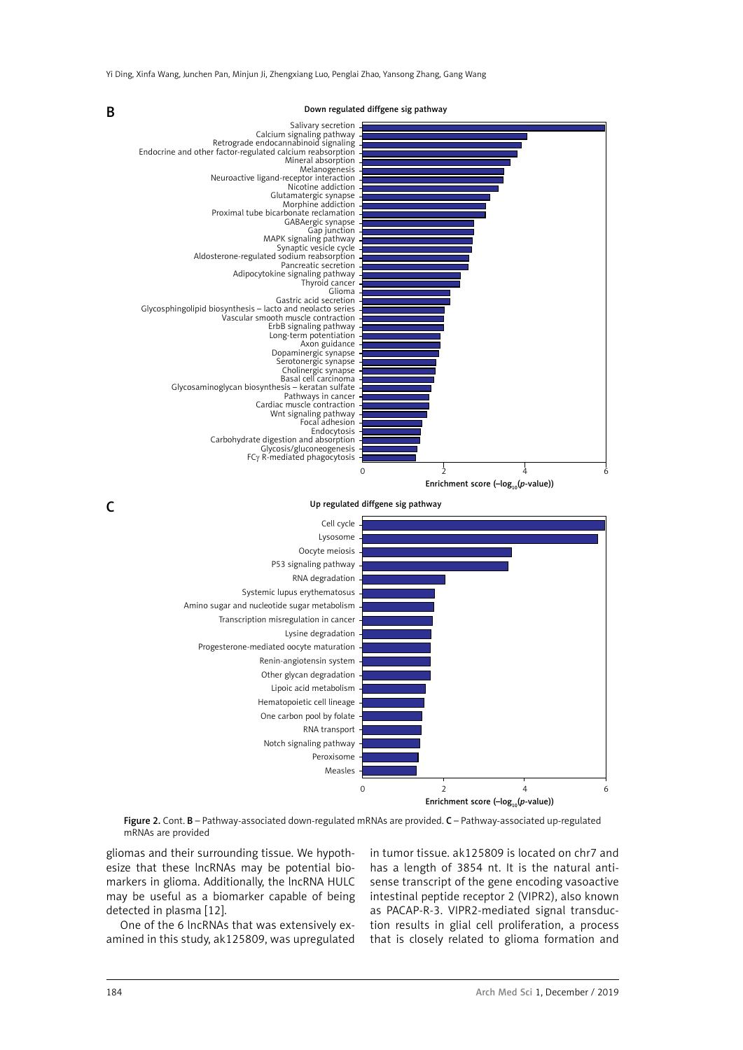

Down regulated diffgene sig pathway

Figure 2. Cont. B - Pathway-associated down-regulated mRNAs are provided. C - Pathway-associated up-regulated mRNAs are provided

gliomas and their surrounding tissue. We hypothesize that these lncRNAs may be potential biomarkers in glioma. Additionally, the lncRNA HULC may be useful as a biomarker capable of being detected in plasma [12].

One of the 6 lncRNAs that was extensively examined in this study, ak125809, was upregulated in tumor tissue. ak125809 is located on chr7 and has a length of 3854 nt. It is the natural antisense transcript of the gene encoding vasoactive intestinal peptide receptor 2 (VIPR2), also known as PACAP-R-3. VIPR2-mediated signal transduction results in glial cell proliferation, a process that is closely related to glioma formation and

B

C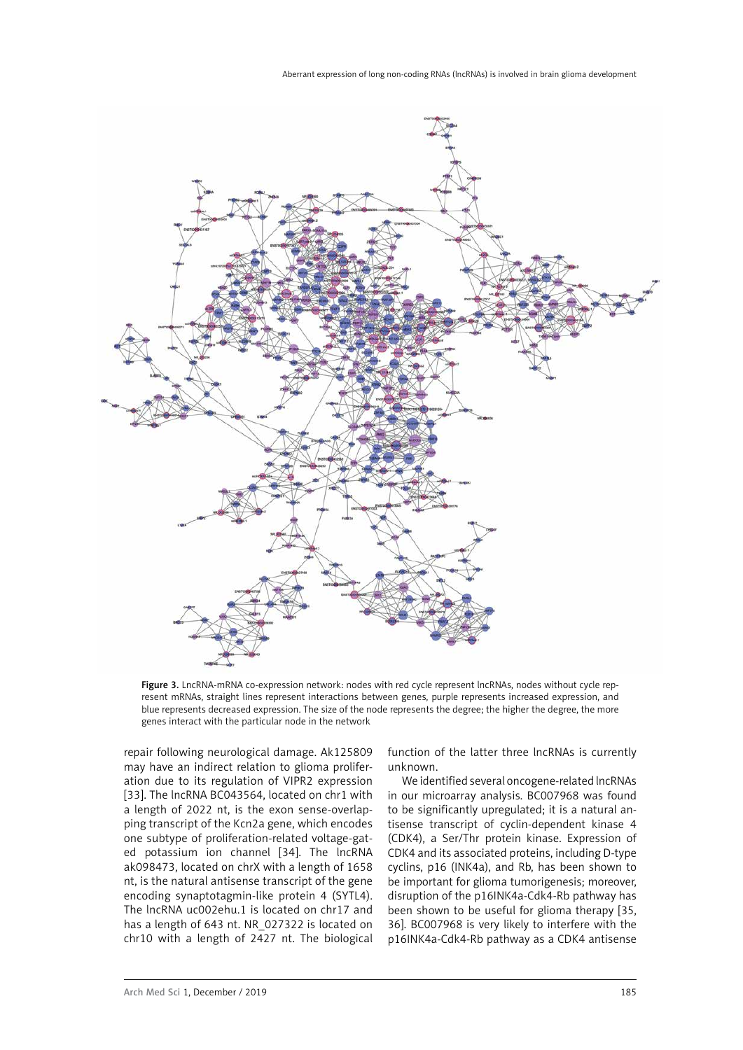

Figure 3. LncRNA-mRNA co-expression network: nodes with red cycle represent lncRNAs, nodes without cycle represent mRNAs, straight lines represent interactions between genes, purple represents increased expression, and blue represents decreased expression. The size of the node represents the degree; the higher the degree, the more genes interact with the particular node in the network

repair following neurological damage. Ak125809 may have an indirect relation to glioma proliferation due to its regulation of VIPR2 expression [33]. The lncRNA BC043564, located on chr1 with a length of 2022 nt, is the exon sense-overlapping transcript of the Kcn2a gene, which encodes one subtype of proliferation-related voltage-gated potassium ion channel [34]. The lncRNA ak098473, located on chrX with a length of 1658 nt, is the natural antisense transcript of the gene encoding synaptotagmin-like protein 4 (SYTL4). The lncRNA uc002ehu.1 is located on chr17 and has a length of 643 nt. NR\_027322 is located on chr10 with a length of 2427 nt. The biological function of the latter three lncRNAs is currently unknown.

We identified several oncogene-related lncRNAs in our microarray analysis. BC007968 was found to be significantly upregulated; it is a natural antisense transcript of cyclin-dependent kinase 4 (CDK4), a Ser/Thr protein kinase. Expression of CDK4 and its associated proteins, including D-type cyclins, p16 (INK4a), and Rb, has been shown to be important for glioma tumorigenesis; moreover, disruption of the p16INK4a-Cdk4-Rb pathway has been shown to be useful for glioma therapy [35, 36]. BC007968 is very likely to interfere with the p16INK4a-Cdk4-Rb pathway as a CDK4 antisense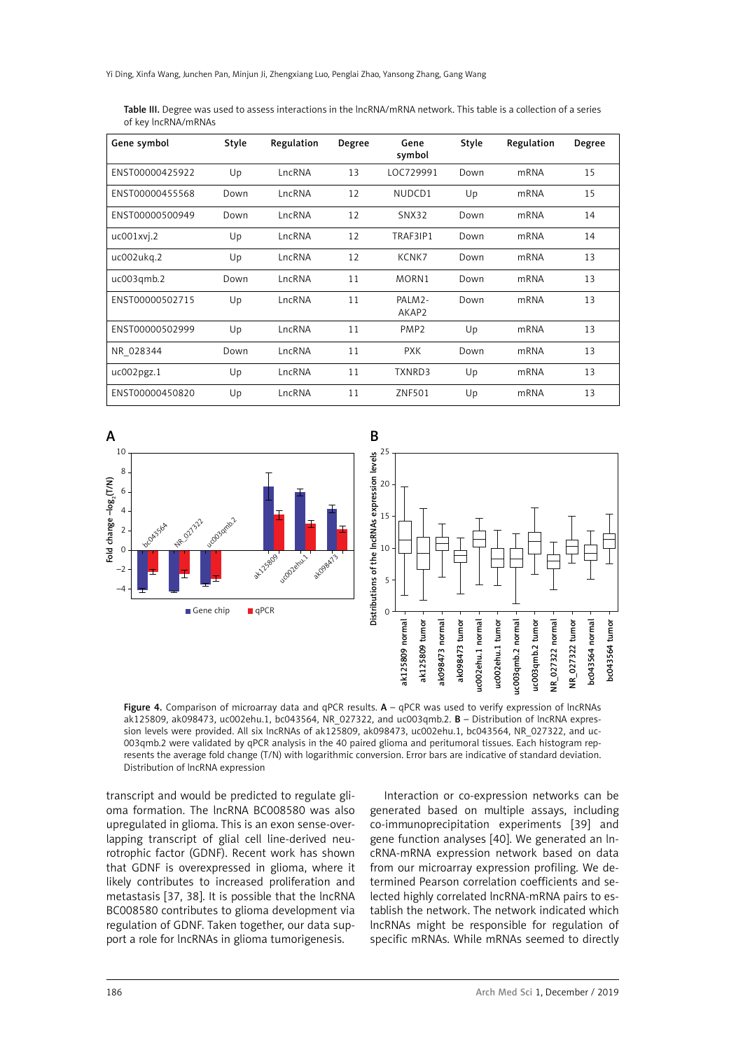Yi Ding, Xinfa Wang, Junchen Pan, Minjun Ji, Zhengxiang Luo, Penglai Zhao, Yansong Zhang, Gang Wang

| Table III. Degree was used to assess interactions in the lncRNA/mRNA network. This table is a collection of a series |  |
|----------------------------------------------------------------------------------------------------------------------|--|
| of key IncRNA/mRNAs                                                                                                  |  |

| Gene symbol     | Style | Regulation | <b>Degree</b> | Gene<br>symbol   | Style | Regulation       | Degree |
|-----------------|-------|------------|---------------|------------------|-------|------------------|--------|
| ENST00000425922 | Up    | LncRNA     | 13            | LOC729991        | Down  | <b>mRNA</b>      | 15     |
| ENST00000455568 | Down  | LncRNA     | 12            | NUDCD1           | Up    | <b>mRNA</b>      | 15     |
| ENST00000500949 | Down  | LncRNA     | 12            | <b>SNX32</b>     | Down  | m <sub>RNA</sub> | 14     |
| uc001xvi.2      | Up    | LncRNA     | 12            | TRAF3IP1         | Down  | m <sub>RNA</sub> | 14     |
| uc002ukg.2      | Up    | LncRNA     | 12            | KCNK7            | Down  | m <sub>RNA</sub> | 13     |
| uc003qmb.2      | Down  | LncRNA     | 11            | MORN1            | Down  | <b>mRNA</b>      | 13     |
| ENST00000502715 | Up    | LncRNA     | 11            | PALM2-<br>AKAP2  | Down  | <b>mRNA</b>      | 13     |
| ENST00000502999 | Up    | LncRNA     | 11            | PMP <sub>2</sub> | Up    | <b>mRNA</b>      | 13     |
| NR 028344       | Down  | LncRNA     | 11            | <b>PXK</b>       | Down  | <b>mRNA</b>      | 13     |
| uc002pgz.1      | Up    | LncRNA     | 11            | TXNRD3           | Up    | <b>mRNA</b>      | 13     |
| ENST00000450820 | Up    | LncRNA     | 11            | ZNF501           | Up    | <b>mRNA</b>      | 13     |



Figure 4. Comparison of microarray data and  $qPCR$  results.  $A - qPCR$  was used to verify expression of lncRNAs ak125809, ak098473, uc002ehu.1, bc043564, NR\_027322, and uc003qmb.2. B – Distribution of lncRNA expression levels were provided. All six lncRNAs of ak125809, ak098473, uc002ehu.1, bc043564, NR\_027322, and uc-003qmb.2 were validated by qPCR analysis in the 40 paired glioma and peritumoral tissues. Each histogram represents the average fold change (T/N) with logarithmic conversion. Error bars are indicative of standard deviation. Distribution of lncRNA expression

transcript and would be predicted to regulate glioma formation. The lncRNA BC008580 was also upregulated in glioma. This is an exon sense-overlapping transcript of glial cell line-derived neurotrophic factor (GDNF). Recent work has shown that GDNF is overexpressed in glioma, where it likely contributes to increased proliferation and metastasis [37, 38]. It is possible that the lncRNA BC008580 contributes to glioma development via regulation of GDNF. Taken together, our data support a role for lncRNAs in glioma tumorigenesis.

Interaction or co-expression networks can be generated based on multiple assays, including co-immunoprecipitation experiments [39] and gene function analyses [40]. We generated an lncRNA-mRNA expression network based on data from our microarray expression profiling. We determined Pearson correlation coefficients and selected highly correlated lncRNA-mRNA pairs to establish the network. The network indicated which lncRNAs might be responsible for regulation of specific mRNAs. While mRNAs seemed to directly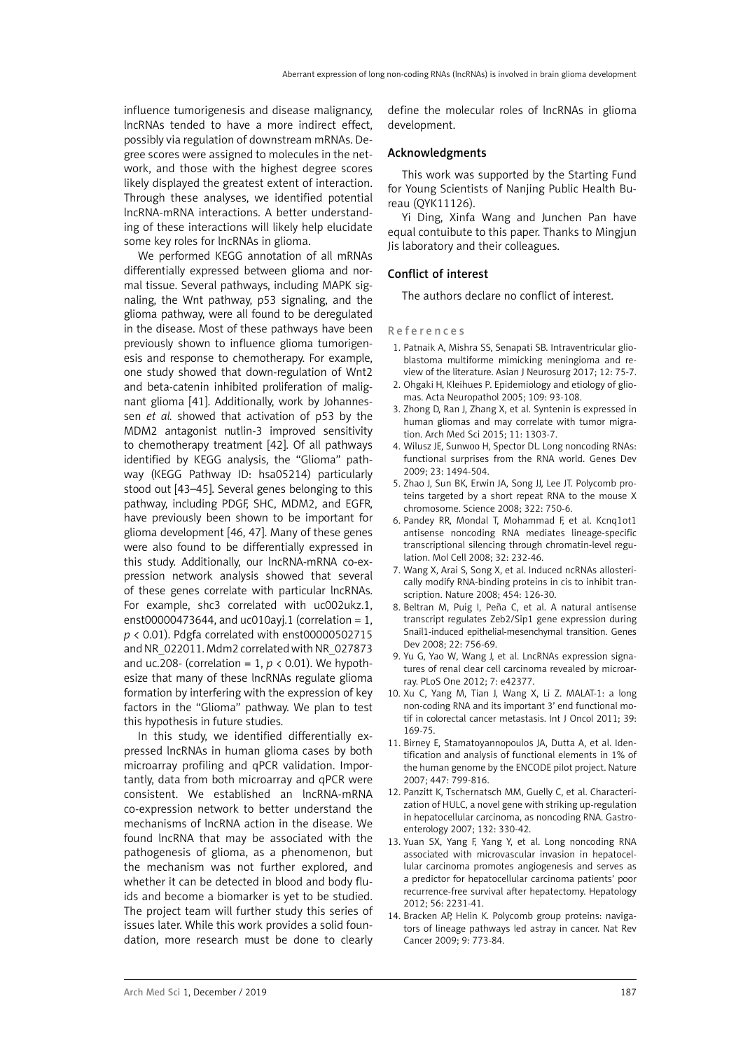influence tumorigenesis and disease malignancy, lncRNAs tended to have a more indirect effect, possibly via regulation of downstream mRNAs. Degree scores were assigned to molecules in the network, and those with the highest degree scores likely displayed the greatest extent of interaction. Through these analyses, we identified potential lncRNA-mRNA interactions. A better understanding of these interactions will likely help elucidate some key roles for lncRNAs in glioma.

We performed KEGG annotation of all mRNAs differentially expressed between glioma and normal tissue. Several pathways, including MAPK signaling, the Wnt pathway, p53 signaling, and the glioma pathway, were all found to be deregulated in the disease. Most of these pathways have been previously shown to influence glioma tumorigenesis and response to chemotherapy. For example, one study showed that down-regulation of Wnt2 and beta-catenin inhibited proliferation of malignant glioma [41]. Additionally, work by Johannessen *et al.* showed that activation of p53 by the MDM2 antagonist nutlin-3 improved sensitivity to chemotherapy treatment [42]. Of all pathways identified by KEGG analysis, the "Glioma" pathway (KEGG Pathway ID: hsa05214) particularly stood out [43–45]. Several genes belonging to this pathway, including PDGF, SHC, MDM2, and EGFR, have previously been shown to be important for glioma development [46, 47]. Many of these genes were also found to be differentially expressed in this study. Additionally, our lncRNA-mRNA co-expression network analysis showed that several of these genes correlate with particular lncRNAs. For example, shc3 correlated with uc002ukz.1, enst00000473644, and  $uc010ay$ ]. (correlation = 1, *p* < 0.01). Pdgfa correlated with enst00000502715 and NR\_022011. Mdm2 correlated with NR\_027873 and uc.208- (correlation = 1,  $p < 0.01$ ). We hypothesize that many of these lncRNAs regulate glioma formation by interfering with the expression of key factors in the "Glioma" pathway. We plan to test this hypothesis in future studies.

In this study, we identified differentially expressed lncRNAs in human glioma cases by both microarray profiling and qPCR validation. Importantly, data from both microarray and qPCR were consistent. We established an lncRNA-mRNA co-expression network to better understand the mechanisms of lncRNA action in the disease. We found lncRNA that may be associated with the pathogenesis of glioma, as a phenomenon, but the mechanism was not further explored, and whether it can be detected in blood and body fluids and become a biomarker is yet to be studied. The project team will further study this series of issues later. While this work provides a solid foundation, more research must be done to clearly define the molecular roles of lncRNAs in glioma development.

#### Acknowledgments

This work was supported by the Starting Fund for Young Scientists of Nanjing Public Health Bureau (QYK11126).

Yi Ding, Xinfa Wang and Junchen Pan have equal contuibute to this paper. Thanks to Mingjun Jis laboratory and their colleagues.

#### Conflict of interest

The authors declare no conflict of interest.

#### References

- 1. Patnaik A, Mishra SS, Senapati SB. Intraventricular glioblastoma multiforme mimicking meningioma and review of the literature. Asian J Neurosurg 2017; 12: 75-7.
- 2. Ohgaki H, Kleihues P. Epidemiology and etiology of gliomas. Acta Neuropathol 2005; 109: 93-108.
- 3. Zhong D, Ran J, Zhang X, et al. Syntenin is expressed in human gliomas and may correlate with tumor migration. Arch Med Sci 2015; 11: 1303-7.
- 4. Wilusz JE, Sunwoo H, Spector DL. Long noncoding RNAs: functional surprises from the RNA world. Genes Dev 2009; 23: 1494-504.
- 5. Zhao J, Sun BK, Erwin JA, Song JJ, Lee JT. Polycomb proteins targeted by a short repeat RNA to the mouse X chromosome. Science 2008; 322: 750-6.
- 6. Pandey RR, Mondal T, Mohammad F, et al. Kcnq1ot1 antisense noncoding RNA mediates lineage-specific transcriptional silencing through chromatin-level regulation. Mol Cell 2008; 32: 232-46.
- 7. Wang X, Arai S, Song X, et al. Induced ncRNAs allosterically modify RNA-binding proteins in cis to inhibit transcription. Nature 2008; 454: 126-30.
- 8. Beltran M, Puig I, Peña C, et al. A natural antisense transcript regulates Zeb2/Sip1 gene expression during Snail1-induced epithelial-mesenchymal transition. Genes Dev 2008; 22: 756-69.
- 9. Yu G, Yao W, Wang J, et al. LncRNAs expression signatures of renal clear cell carcinoma revealed by microarray. PLoS One 2012; 7: e42377.
- 10. Xu C, Yang M, Tian J, Wang X, Li Z. MALAT-1: a long non-coding RNA and its important 3' end functional motif in colorectal cancer metastasis. Int J Oncol 2011; 39: 169-75.
- 11. Birney E, Stamatoyannopoulos JA, Dutta A, et al. Identification and analysis of functional elements in 1% of the human genome by the ENCODE pilot project. Nature 2007; 447: 799-816.
- 12. Panzitt K, Tschernatsch MM, Guelly C, et al. Characterization of HULC, a novel gene with striking up-regulation in hepatocellular carcinoma, as noncoding RNA. Gastroenterology 2007; 132: 330-42.
- 13. Yuan SX, Yang F, Yang Y, et al. Long noncoding RNA associated with microvascular invasion in hepatocellular carcinoma promotes angiogenesis and serves as a predictor for hepatocellular carcinoma patients' poor recurrence-free survival after hepatectomy. Hepatology 2012; 56: 2231-41.
- 14. Bracken AP, Helin K. Polycomb group proteins: navigators of lineage pathways led astray in cancer. Nat Rev Cancer 2009; 9: 773-84.